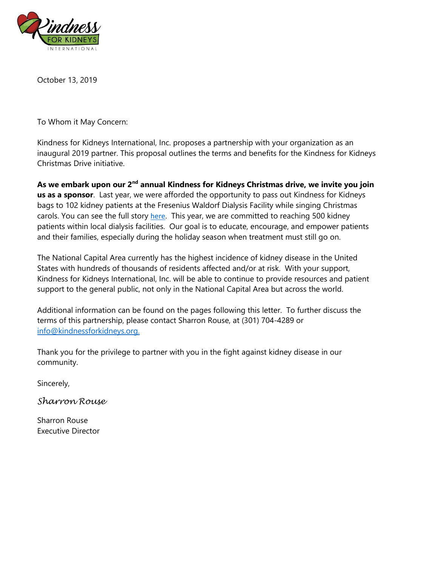

October 13, 2019

To Whom it May Concern:

Kindness for Kidneys International, Inc. proposes a partnership with your organization as an inaugural 2019 partner. This proposal outlines the terms and benefits for the Kindness for Kidneys Christmas Drive initiative.

**As we embark upon our 2nd annual Kindness for Kidneys Christmas drive, we invite you join us as a sponsor**. Last year, we were afforded the opportunity to pass out Kindness for Kidneys bags to 102 kidney patients at the Fresenius Waldorf Dialysis Facility while singing Christmas carols. You can see the full story [here](https://www.nbcwashington.com/news/local/Volunteers-Bring-Holiday-Cheer-to-Dialysis-Patients_Washington-DC-503567202.html). This year, we are committed to reaching 500 kidney patients within local dialysis facilities. Our goal is to educate, encourage, and empower patients and their families, especially during the holiday season when treatment must still go on.

The National Capital Area currently has the highest incidence of kidney disease in the United States with hundreds of thousands of residents affected and/or at risk. With your support, Kindness for Kidneys International, Inc. will be able to continue to provide resources and patient support to the general public, not only in the National Capital Area but across the world.

Additional information can be found on the pages following this letter. To further discuss the terms of this partnership, please contact Sharron Rouse, at (301) 704-4289 or [info@kindnessforkidneys.org.](mailto:info@kindnessforkidneys.org.)

Thank you for the privilege to partner with you in the fight against kidney disease in our community.

Sincerely,

*Sharron Rouse*

Sharron Rouse Executive Director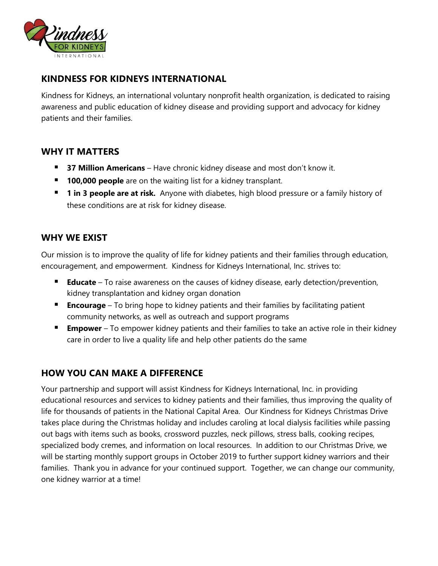

### **KINDNESS FOR KIDNEYS INTERNATIONAL**

Kindness for Kidneys, an international voluntary nonprofit health organization, is dedicated to raising awareness and public education of kidney disease and providing support and advocacy for kidney patients and their families.

# **WHY IT MATTERS**

- **37 Million Americans** Have chronic kidney disease and most don't know it.
- **100,000 people** are on the waiting list for a kidney transplant.
- **1 in 3 people are at risk.** Anyone with diabetes, high blood pressure or a family history of these conditions are at risk for kidney disease.

# **WHY WE EXIST**

Our mission is to improve the quality of life for kidney patients and their families through education, encouragement, and empowerment. Kindness for Kidneys International, Inc. strives to:

- **Educate** To raise awareness on the causes of kidney disease, early detection/prevention, kidney transplantation and kidney organ donation
- **Encourage** To bring hope to kidney patients and their families by facilitating patient community networks, as well as outreach and support programs
- **Empower** To empower kidney patients and their families to take an active role in their kidney care in order to live a quality life and help other patients do the same

# **HOW YOU CAN MAKE A DIFFERENCE**

Your partnership and support will assist Kindness for Kidneys International, Inc. in providing educational resources and services to kidney patients and their families, thus improving the quality of life for thousands of patients in the National Capital Area. Our Kindness for Kidneys Christmas Drive takes place during the Christmas holiday and includes caroling at local dialysis facilities while passing out bags with items such as books, crossword puzzles, neck pillows, stress balls, cooking recipes, specialized body cremes, and information on local resources. In addition to our Christmas Drive, we will be starting monthly support groups in October 2019 to further support kidney warriors and their families. Thank you in advance for your continued support. Together, we can change our community, one kidney warrior at a time!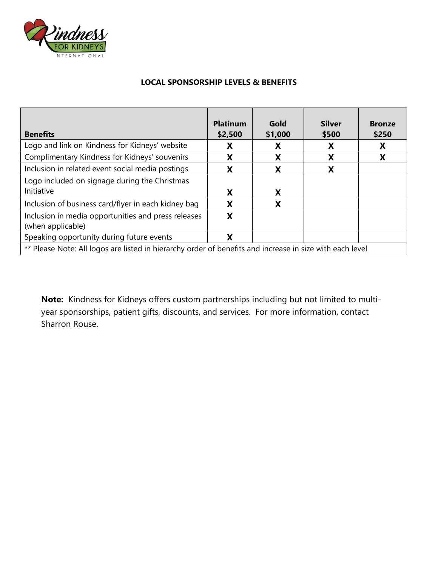

#### **LOCAL SPONSORSHIP LEVELS & BENEFITS**

| <b>Benefits</b>                                                                                          | <b>Platinum</b><br>\$2,500 | Gold<br>\$1,000 | <b>Silver</b><br>\$500 | <b>Bronze</b><br>\$250 |  |
|----------------------------------------------------------------------------------------------------------|----------------------------|-----------------|------------------------|------------------------|--|
| Logo and link on Kindness for Kidneys' website                                                           | Χ                          | х               | х                      | X                      |  |
| Complimentary Kindness for Kidneys' souvenirs                                                            | χ                          | X               | X                      | X                      |  |
| Inclusion in related event social media postings                                                         | X                          | X               | X                      |                        |  |
| Logo included on signage during the Christmas                                                            |                            |                 |                        |                        |  |
| Initiative                                                                                               | X                          | X               |                        |                        |  |
| Inclusion of business card/flyer in each kidney bag                                                      | X                          | X               |                        |                        |  |
| Inclusion in media opportunities and press releases<br>(when applicable)                                 | X                          |                 |                        |                        |  |
| Speaking opportunity during future events                                                                | X                          |                 |                        |                        |  |
| ** Please Note: All logos are listed in hierarchy order of benefits and increase in size with each level |                            |                 |                        |                        |  |

**Note:** Kindness for Kidneys offers custom partnerships including but not limited to multiyear sponsorships, patient gifts, discounts, and services. For more information, contact Sharron Rouse.